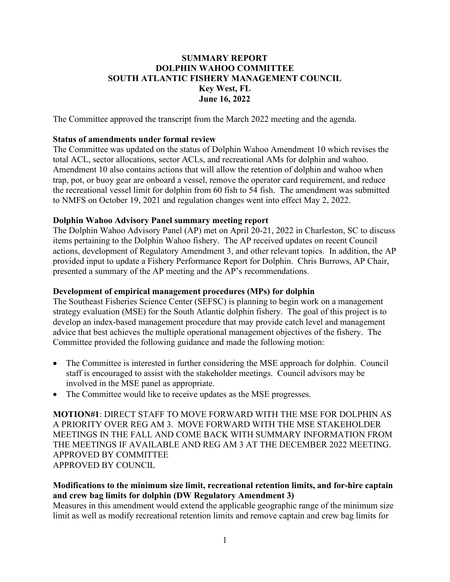# **SUMMARY REPORT DOLPHIN WAHOO COMMITTEE SOUTH ATLANTIC FISHERY MANAGEMENT COUNCIL Key West, FL June 16, 2022**

The Committee approved the transcript from the March 2022 meeting and the agenda.

### **Status of amendments under formal review**

The Committee was updated on the status of Dolphin Wahoo Amendment 10 which revises the total ACL, sector allocations, sector ACLs, and recreational AMs for dolphin and wahoo. Amendment 10 also contains actions that will allow the retention of dolphin and wahoo when trap, pot, or buoy gear are onboard a vessel, remove the operator card requirement, and reduce the recreational vessel limit for dolphin from 60 fish to 54 fish. The amendment was submitted to NMFS on October 19, 2021 and regulation changes went into effect May 2, 2022.

### **Dolphin Wahoo Advisory Panel summary meeting report**

The Dolphin Wahoo Advisory Panel (AP) met on April 20-21, 2022 in Charleston, SC to discuss items pertaining to the Dolphin Wahoo fishery. The AP received updates on recent Council actions, development of Regulatory Amendment 3, and other relevant topics. In addition, the AP provided input to update a Fishery Performance Report for Dolphin. Chris Burrows, AP Chair, presented a summary of the AP meeting and the AP's recommendations.

#### **Development of empirical management procedures (MPs) for dolphin**

The Southeast Fisheries Science Center (SEFSC) is planning to begin work on a management strategy evaluation (MSE) for the South Atlantic dolphin fishery. The goal of this project is to develop an index-based management procedure that may provide catch level and management advice that best achieves the multiple operational management objectives of the fishery. The Committee provided the following guidance and made the following motion:

- The Committee is interested in further considering the MSE approach for dolphin. Council staff is encouraged to assist with the stakeholder meetings. Council advisors may be involved in the MSE panel as appropriate.
- The Committee would like to receive updates as the MSE progresses.

**MOTION#1**: DIRECT STAFF TO MOVE FORWARD WITH THE MSE FOR DOLPHIN AS A PRIORITY OVER REG AM 3. MOVE FORWARD WITH THE MSE STAKEHOLDER MEETINGS IN THE FALL AND COME BACK WITH SUMMARY INFORMATION FROM THE MEETINGS IF AVAILABLE AND REG AM 3 AT THE DECEMBER 2022 MEETING. APPROVED BY COMMITTEE APPROVED BY COUNCIL

### **Modifications to the minimum size limit, recreational retention limits, and for-hire captain and crew bag limits for dolphin (DW Regulatory Amendment 3)**

Measures in this amendment would extend the applicable geographic range of the minimum size limit as well as modify recreational retention limits and remove captain and crew bag limits for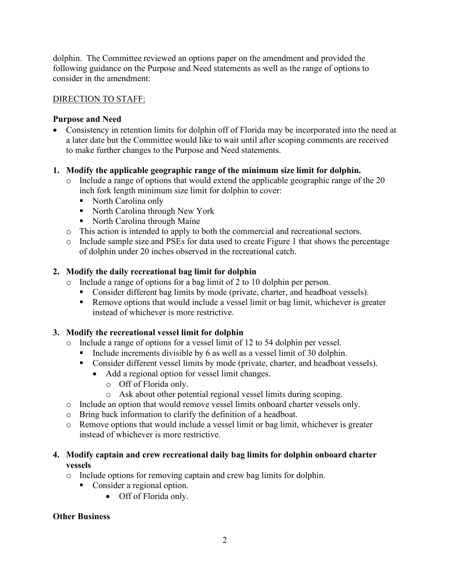dolphin. The Committee reviewed an options paper on the amendment and provided the following guidance on the Purpose and Need statements as well as the range of options to consider in the amendment:

## DIRECTION TO STAFF:

## **Purpose and Need**

• Consistency in retention limits for dolphin off of Florida may be incorporated into the need at a later date but the Committee would like to wait until after scoping comments are received to make further changes to the Purpose and Need statements.

## **1. Modify the applicable geographic range of the minimum size limit for dolphin.**

- o Include a range of options that would extend the applicable geographic range of the 20 inch fork length minimum size limit for dolphin to cover:
	- North Carolina only
	- North Carolina through New York
	- North Carolina through Maine
- o This action is intended to apply to both the commercial and recreational sectors.
- o Include sample size and PSEs for data used to create Figure 1 that shows the percentage of dolphin under 20 inches observed in the recreational catch.

## **2. Modify the daily recreational bag limit for dolphin**

- o Include a range of options for a bag limit of 2 to 10 dolphin per person.
	- **Consider different bag limits by mode (private, charter, and headboat vessels).**
	- Remove options that would include a vessel limit or bag limit, whichever is greater instead of whichever is more restrictive.

## **3. Modify the recreational vessel limit for dolphin**

- o Include a range of options for a vessel limit of 12 to 54 dolphin per vessel.
	- Include increments divisible by 6 as well as a vessel limit of 30 dolphin.
	- **Consider different vessel limits by mode (private, charter, and headboat vessels).** 
		- Add a regional option for vessel limit changes.
			- o Off of Florida only.
			- o Ask about other potential regional vessel limits during scoping.
- o Include an option that would remove vessel limits onboard charter vessels only.
- o Bring back information to clarify the definition of a headboat.
- o Remove options that would include a vessel limit or bag limit, whichever is greater instead of whichever is more restrictive.

## **4. Modify captain and crew recreational daily bag limits for dolphin onboard charter vessels**

- o Include options for removing captain and crew bag limits for dolphin.
	- Consider a regional option.
		- Off of Florida only.

## **Other Business**